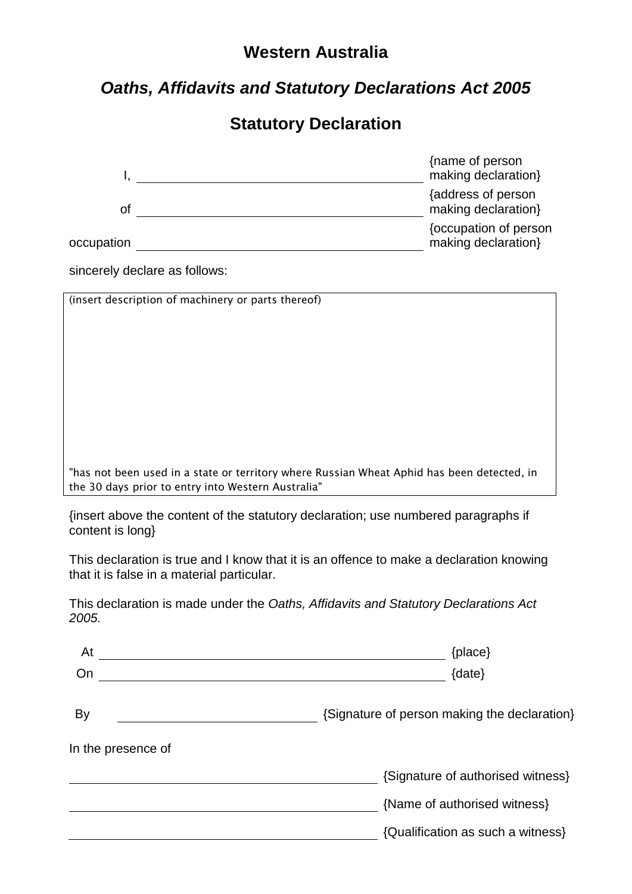## **Western Australia**

# *Oaths, Affidavits and Statutory Declarations Act 2005*

## **Statutory Declaration**

|            | {name of person<br>making declaration}       |
|------------|----------------------------------------------|
| Οt         | {address of person<br>making declaration}    |
| occupation | {occupation of person<br>making declaration} |

sincerely declare as follows:

(insert description of machinery or parts thereof)

"has not been used in a state or territory where Russian Wheat Aphid has been detected, in the 30 days prior to entry into Western Australia"

{insert above the content of the statutory declaration; use numbered paragraphs if content is long}

This declaration is true and I know that it is an offence to make a declaration knowing that it is false in a material particular.

This declaration is made under the *Oaths, Affidavits and Statutory Declarations Act 2005.*

| At                 | {place}                                      |
|--------------------|----------------------------------------------|
| On                 | {date}                                       |
| By                 | {Signature of person making the declaration} |
| In the presence of |                                              |
|                    | {Signature of authorised witness}            |
|                    | {Name of authorised witness}                 |
|                    | {Qualification as such a witness}            |